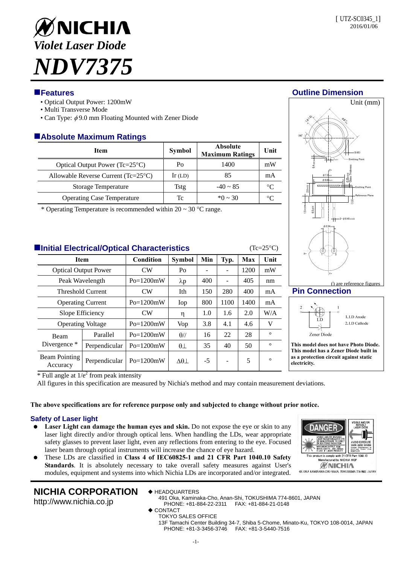Unit (mm)

# ØNICHIA *Violet Laser Diode NDV7375*

## **Features Outline Dimension**

- Optical Output Power: 1200mW
- Multi Transverse Mode
- Can Type:  $\phi$ 9.0 mm Floating Mounted with Zener Diode

# **Absolute Maximum Ratings**

| Item                                         | Symbol    | <b>Absolute</b><br><b>Maximum Ratings</b> | Unit        |
|----------------------------------------------|-----------|-------------------------------------------|-------------|
| Optical Output Power $(Tc=25^{\circ}C)$      | Po        | 1400                                      | mW          |
| Allowable Reverse Current $(Tc=25^{\circ}C)$ | $Ir$ (LD) | 85                                        | mA          |
| Storage Temperature                          | Tstg      | $-40 \sim 85$                             | $^{\circ}C$ |
| <b>Operating Case Temperature</b>            | Tc        | $*0 \sim 30$                              | °∩          |

\* Operating Temperature is recommended within  $20 \sim 30$  °C range.

## **Initial Electrical/Optical Characteristics** (Tc=25°C)

| <b>Item</b>                      |               | Condition   | <b>Symbol</b>          | Min  | Typ. | Max  | Unit    |
|----------------------------------|---------------|-------------|------------------------|------|------|------|---------|
| <b>Optical Output Power</b>      |               | CW          | Po                     |      |      | 1200 | mW      |
| Peak Wavelength                  |               | $Po=1200mW$ | $\lambda p$            | 400  |      | 405  | nm      |
| <b>Threshold Current</b>         |               | CW          | Ith                    | 150  | 280  | 400  | mA      |
| <b>Operating Current</b>         |               | $Po=1200mW$ | Iop                    | 800  | 1100 | 1400 | mA      |
| Slope Efficiency                 |               | CW          | η                      | 1.0  | 1.6  | 2.0  | W/A     |
| <b>Operating Voltage</b>         |               | $Po=1200mW$ | Vop                    | 3.8  | 4.1  | 4.6  | V       |
| Beam<br>Divergence *             | Parallel      | $Po=1200mW$ | $\theta$ //            | 16   | 22   | 28   | $\circ$ |
|                                  | Perpendicular | $Po=1200mW$ | $\theta\perp$          | 35   | 40   | 50   | $\circ$ |
| <b>Beam Pointing</b><br>Accuracy | Perpendicular | $Po=1200mW$ | $\Delta\theta$ $\perp$ | $-5$ |      | 5    | $\circ$ |

 $1_{±0.1}$  $φ$  2.54 $±0.2$ +0 -0.03 Reference Plane Emitting Point  $2 - \phi 0.45 \pm 0.05$ Emitting Point Z+ (0.65) (90°)  $φ6.65±0.1$  $φ7.3|_{0.2}$ 





**Pin Connection** 



**This model does not have Photo Diode. This model has a Zener Diode built in as a protection circuit against static electricity.** 

 $*$  Full angle at  $1/e^2$  from peak intensity

All figures in this specification are measured by Nichia's method and may contain measurement deviations.

## **The above specifications are for reference purpose only and subjected to change without prior notice.**

## **Safety of Laser light**

- **Laser Light can damage the human eyes and skin.** Do not expose the eye or skin to any laser light directly and/or through optical lens. When handling the LDs, wear appropriate safety glasses to prevent laser light, even any reflections from entering to the eye. Focused laser beam through optical instruments will increase the chance of eye hazard.
- These LDs are classified in **Class 4 of IEC60825-1 and 21 CFR Part 1040.10 Safety Standards**. It is absolutely necessary to take overall safety measures against User's modules, equipment and systems into which Nichia LDs are incorporated and/or integrated.



# **NICHIA CORPORATION**

http://www.nichia.co.jp

- ◆ HEADQUARTERS 491 Oka, Kaminaka-Cho, Anan-Shi, TOKUSHIMA 774-8601, JAPAN
	- PHONE: +81-884-22-2311 FAX: +81-884-21-0148
	- ◆ CONTACT
		- TOKYO SALES OFFICE

13F Tamachi Center Building 34-7, Shiba 5-Chome, Minato-Ku, TOKYO 108-0014, JAPAN PHONE: +81-3-3456-3746 FAX: +81-3-5440-7516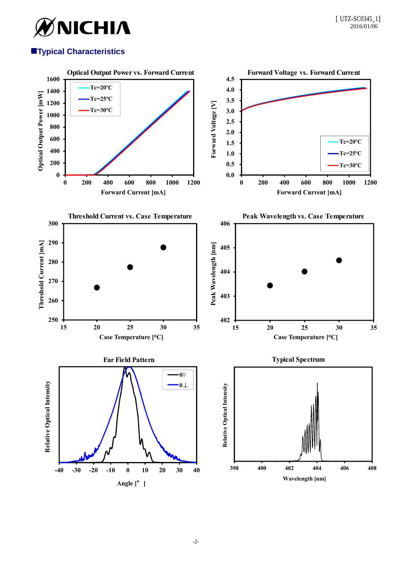

## **Typical Characteristics**